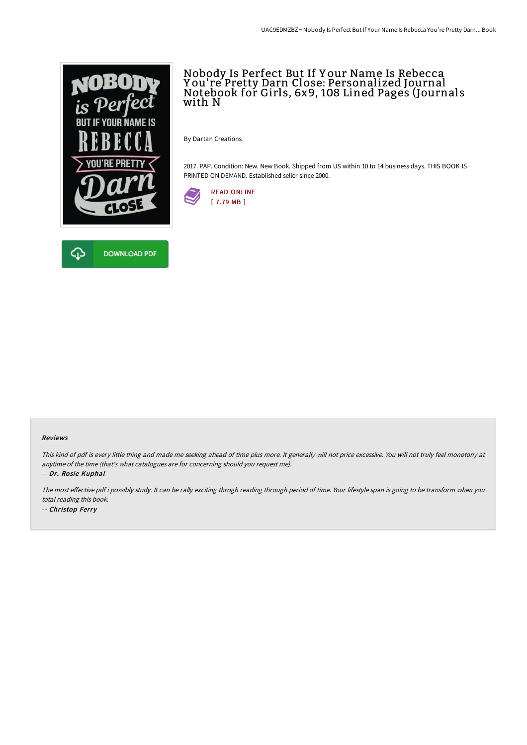

## Nobody Is Perfect But If Y our Name Is Rebecca Y ou' re Pretty Darn Close: Personalized Journal Notebook for Girls, 6x9, 108 Lined Pages (Journals with N

By Dartan Creations

2017. PAP. Condition: New. New Book. Shipped from US within 10 to 14 business days. THIS BOOK IS PRINTED ON DEMAND. Established seller since 2000.





#### Reviews

This kind of pdf is every little thing and made me seeking ahead of time plus more. It generally will not price excessive. You will not truly feel monotony at anytime of the time (that's what catalogues are for concerning should you request me).

-- Dr. Rosie Kuphal

The most effective pdf i possibly study. It can be rally exciting throgh reading through period of time. Your lifestyle span is going to be transform when you total reading this book. -- Christop Ferry